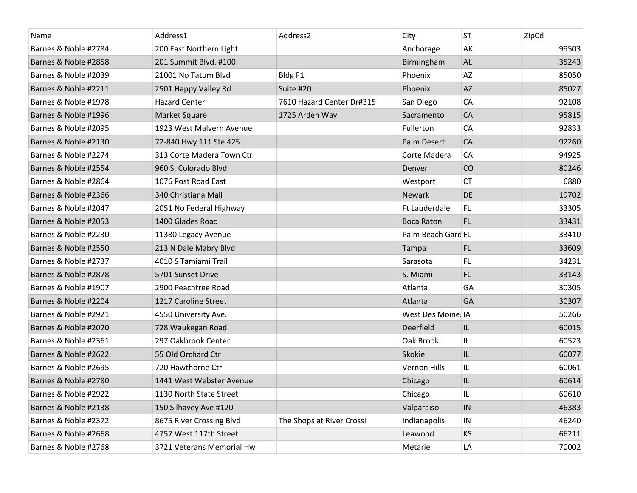| Name                 | Address1                  | Address2                  | City                | <b>ST</b> | ZipCd |
|----------------------|---------------------------|---------------------------|---------------------|-----------|-------|
| Barnes & Noble #2784 | 200 East Northern Light   |                           | Anchorage           | AK        | 99503 |
| Barnes & Noble #2858 | 201 Summit Blvd. #100     |                           | Birmingham          | <b>AL</b> | 35243 |
| Barnes & Noble #2039 | 21001 No Tatum Blvd       | Bldg F1                   | Phoenix             | AZ        | 85050 |
| Barnes & Noble #2211 | 2501 Happy Valley Rd      | Suite #20                 | Phoenix             | <b>AZ</b> | 85027 |
| Barnes & Noble #1978 | <b>Hazard Center</b>      | 7610 Hazard Center Dr#315 | San Diego           | CA        | 92108 |
| Barnes & Noble #1996 | Market Square             | 1725 Arden Way            | Sacramento          | CA        | 95815 |
| Barnes & Noble #2095 | 1923 West Malvern Avenue  |                           | Fullerton           | CA        | 92833 |
| Barnes & Noble #2130 | 72-840 Hwy 111 Ste 425    |                           | Palm Desert         | CA        | 92260 |
| Barnes & Noble #2274 | 313 Corte Madera Town Ctr |                           | Corte Madera        | CA        | 94925 |
| Barnes & Noble #2554 | 960 S. Colorado Blvd.     |                           | Denver              | CO        | 80246 |
| Barnes & Noble #2864 | 1076 Post Road East       |                           | Westport            | <b>CT</b> | 6880  |
| Barnes & Noble #2366 | 340 Christiana Mall       |                           | Newark              | DE        | 19702 |
| Barnes & Noble #2047 | 2051 No Federal Highway   |                           | Ft Lauderdale       | FL.       | 33305 |
| Barnes & Noble #2053 | 1400 Glades Road          |                           | <b>Boca Raton</b>   | FL.       | 33431 |
| Barnes & Noble #2230 | 11380 Legacy Avenue       |                           | Palm Beach Gard FL  |           | 33410 |
| Barnes & Noble #2550 | 213 N Dale Mabry Blvd     |                           | Tampa               | FL.       | 33609 |
| Barnes & Noble #2737 | 4010 S Tamiami Trail      |                           | Sarasota            | FL.       | 34231 |
| Barnes & Noble #2878 | 5701 Sunset Drive         |                           | S. Miami            | FL.       | 33143 |
| Barnes & Noble #1907 | 2900 Peachtree Road       |                           | Atlanta             | GA        | 30305 |
| Barnes & Noble #2204 | 1217 Caroline Street      |                           | Atlanta             | GA        | 30307 |
| Barnes & Noble #2921 | 4550 University Ave.      |                           | West Des Moine: IA  |           | 50266 |
| Barnes & Noble #2020 | 728 Waukegan Road         |                           | Deerfield           | IL        | 60015 |
| Barnes & Noble #2361 | 297 Oakbrook Center       |                           | Oak Brook           | IL        | 60523 |
| Barnes & Noble #2622 | 55 Old Orchard Ctr        |                           | Skokie              | IL        | 60077 |
| Barnes & Noble #2695 | 720 Hawthorne Ctr         |                           | <b>Vernon Hills</b> | IL.       | 60061 |
| Barnes & Noble #2780 | 1441 West Webster Avenue  |                           | Chicago             | IL        | 60614 |
| Barnes & Noble #2922 | 1130 North State Street   |                           | Chicago             | IL        | 60610 |
| Barnes & Noble #2138 | 150 Silhavey Ave #120     |                           | Valparaiso          | IN        | 46383 |
| Barnes & Noble #2372 | 8675 River Crossing Blvd  | The Shops at River Crossi | Indianapolis        | IN        | 46240 |
| Barnes & Noble #2668 | 4757 West 117th Street    |                           | Leawood             | <b>KS</b> | 66211 |
| Barnes & Noble #2768 | 3721 Veterans Memorial Hw |                           | Metarie             | LA        | 70002 |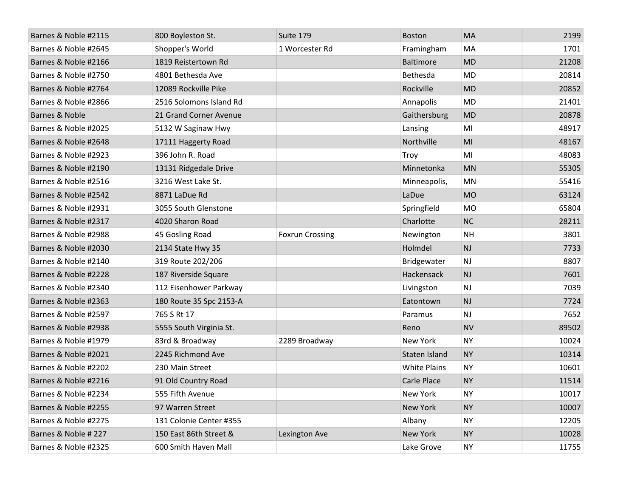| Barnes & Noble #2115 | 800 Boyleston St.       | Suite 179              | <b>Boston</b>       | MA        | 2199  |
|----------------------|-------------------------|------------------------|---------------------|-----------|-------|
| Barnes & Noble #2645 | Shopper's World         | 1 Worcester Rd         | Framingham          | MA        | 1701  |
| Barnes & Noble #2166 | 1819 Reistertown Rd     |                        | Baltimore           | <b>MD</b> | 21208 |
| Barnes & Noble #2750 | 4801 Bethesda Ave       |                        | Bethesda            | <b>MD</b> | 20814 |
| Barnes & Noble #2764 | 12089 Rockville Pike    |                        | Rockville           | <b>MD</b> | 20852 |
| Barnes & Noble #2866 | 2516 Solomons Island Rd |                        | Annapolis           | MD        | 21401 |
| Barnes & Noble       | 21 Grand Corner Avenue  |                        | Gaithersburg        | <b>MD</b> | 20878 |
| Barnes & Noble #2025 | 5132 W Saginaw Hwy      |                        | Lansing             | MI        | 48917 |
| Barnes & Noble #2648 | 17111 Haggerty Road     |                        | Northville          | MI        | 48167 |
| Barnes & Noble #2923 | 396 John R. Road        |                        | Troy                | MI        | 48083 |
| Barnes & Noble #2190 | 13131 Ridgedale Drive   |                        | Minnetonka          | <b>MN</b> | 55305 |
| Barnes & Noble #2516 | 3216 West Lake St.      |                        | Minneapolis,        | <b>MN</b> | 55416 |
| Barnes & Noble #2542 | 8871 LaDue Rd           |                        | LaDue               | <b>MO</b> | 63124 |
| Barnes & Noble #2931 | 3055 South Glenstone    |                        | Springfield         | <b>MO</b> | 65804 |
| Barnes & Noble #2317 | 4020 Sharon Road        |                        | Charlotte           | <b>NC</b> | 28211 |
| Barnes & Noble #2988 | 45 Gosling Road         | <b>Foxrun Crossing</b> | Newington           | <b>NH</b> | 3801  |
| Barnes & Noble #2030 | 2134 State Hwy 35       |                        | Holmdel             | NJ        | 7733  |
| Barnes & Noble #2140 | 319 Route 202/206       |                        | Bridgewater         | <b>NJ</b> | 8807  |
| Barnes & Noble #2228 | 187 Riverside Square    |                        | Hackensack          | NJ        | 7601  |
| Barnes & Noble #2340 | 112 Eisenhower Parkway  |                        | Livingston          | <b>NJ</b> | 7039  |
| Barnes & Noble #2363 | 180 Route 35 Spc 2153-A |                        | Eatontown           | NJ        | 7724  |
| Barnes & Noble #2597 | 765 S Rt 17             |                        | Paramus             | <b>NJ</b> | 7652  |
| Barnes & Noble #2938 | 5555 South Virginia St. |                        | Reno                | <b>NV</b> | 89502 |
| Barnes & Noble #1979 | 83rd & Broadway         | 2289 Broadway          | New York            | <b>NY</b> | 10024 |
| Barnes & Noble #2021 | 2245 Richmond Ave       |                        | Staten Island       | <b>NY</b> | 10314 |
| Barnes & Noble #2202 | 230 Main Street         |                        | <b>White Plains</b> | <b>NY</b> | 10601 |
| Barnes & Noble #2216 | 91 Old Country Road     |                        | Carle Place         | <b>NY</b> | 11514 |
| Barnes & Noble #2234 | 555 Fifth Avenue        |                        | New York            | <b>NY</b> | 10017 |
| Barnes & Noble #2255 | 97 Warren Street        |                        | New York            | <b>NY</b> | 10007 |
| Barnes & Noble #2275 | 131 Colonie Center #355 |                        | Albany              | <b>NY</b> | 12205 |
| Barnes & Noble # 227 | 150 East 86th Street &  | Lexington Ave          | New York            | <b>NY</b> | 10028 |
| Barnes & Noble #2325 | 600 Smith Haven Mall    |                        | Lake Grove          | <b>NY</b> | 11755 |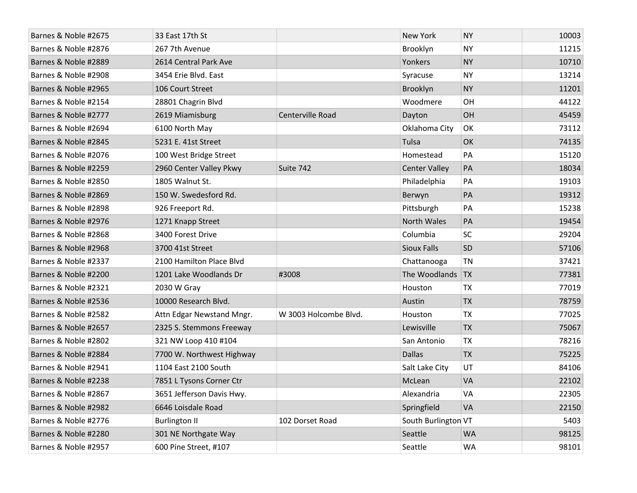| Barnes & Noble #2675 | 33 East 17th St           |                       | <b>New York</b>      | <b>NY</b> | 10003 |
|----------------------|---------------------------|-----------------------|----------------------|-----------|-------|
| Barnes & Noble #2876 | 267 7th Avenue            |                       | Brooklyn             | <b>NY</b> | 11215 |
| Barnes & Noble #2889 | 2614 Central Park Ave     |                       | Yonkers              | <b>NY</b> | 10710 |
| Barnes & Noble #2908 | 3454 Erie Blvd. East      |                       | Syracuse             | <b>NY</b> | 13214 |
| Barnes & Noble #2965 | 106 Court Street          |                       | Brooklyn             | <b>NY</b> | 11201 |
| Barnes & Noble #2154 | 28801 Chagrin Blvd        |                       | Woodmere             | OH        | 44122 |
| Barnes & Noble #2777 | 2619 Miamisburg           | Centerville Road      | Dayton               | OH        | 45459 |
| Barnes & Noble #2694 | 6100 North May            |                       | Oklahoma City        | OK        | 73112 |
| Barnes & Noble #2845 | 5231 E. 41st Street       |                       | Tulsa                | OK        | 74135 |
| Barnes & Noble #2076 | 100 West Bridge Street    |                       | Homestead            | PA        | 15120 |
| Barnes & Noble #2259 | 2960 Center Valley Pkwy   | Suite 742             | <b>Center Valley</b> | PA        | 18034 |
| Barnes & Noble #2850 | 1805 Walnut St.           |                       | Philadelphia         | PA        | 19103 |
| Barnes & Noble #2869 | 150 W. Swedesford Rd.     |                       | Berwyn               | PA        | 19312 |
| Barnes & Noble #2898 | 926 Freeport Rd.          |                       | Pittsburgh           | PA        | 15238 |
| Barnes & Noble #2976 | 1271 Knapp Street         |                       | <b>North Wales</b>   | PA        | 19454 |
| Barnes & Noble #2868 | 3400 Forest Drive         |                       | Columbia             | SC        | 29204 |
| Barnes & Noble #2968 | 3700 41st Street          |                       | <b>Sioux Falls</b>   | SD        | 57106 |
| Barnes & Noble #2337 | 2100 Hamilton Place Blvd  |                       | Chattanooga          | <b>TN</b> | 37421 |
| Barnes & Noble #2200 | 1201 Lake Woodlands Dr    | #3008                 | The Woodlands        | <b>TX</b> | 77381 |
| Barnes & Noble #2321 | 2030 W Gray               |                       | Houston              | <b>TX</b> | 77019 |
| Barnes & Noble #2536 | 10000 Research Blvd.      |                       | Austin               | <b>TX</b> | 78759 |
| Barnes & Noble #2582 | Attn Edgar Newstand Mngr. | W 3003 Holcombe Blvd. | Houston              | TX        | 77025 |
| Barnes & Noble #2657 | 2325 S. Stemmons Freeway  |                       | Lewisville           | <b>TX</b> | 75067 |
| Barnes & Noble #2802 | 321 NW Loop 410 #104      |                       | San Antonio          | <b>TX</b> | 78216 |
| Barnes & Noble #2884 | 7700 W. Northwest Highway |                       | <b>Dallas</b>        | <b>TX</b> | 75225 |
| Barnes & Noble #2941 | 1104 East 2100 South      |                       | Salt Lake City       | UT        | 84106 |
| Barnes & Noble #2238 | 7851 L Tysons Corner Ctr  |                       | McLean               | VA        | 22102 |
| Barnes & Noble #2867 | 3651 Jefferson Davis Hwy. |                       | Alexandria           | VA        | 22305 |
| Barnes & Noble #2982 | 6646 Loisdale Road        |                       | Springfield          | VA        | 22150 |
| Barnes & Noble #2776 | <b>Burlington II</b>      | 102 Dorset Road       | South Burlington VT  |           | 5403  |
| Barnes & Noble #2280 | 301 NE Northgate Way      |                       | Seattle              | <b>WA</b> | 98125 |
| Barnes & Noble #2957 | 600 Pine Street, #107     |                       | Seattle              | <b>WA</b> | 98101 |